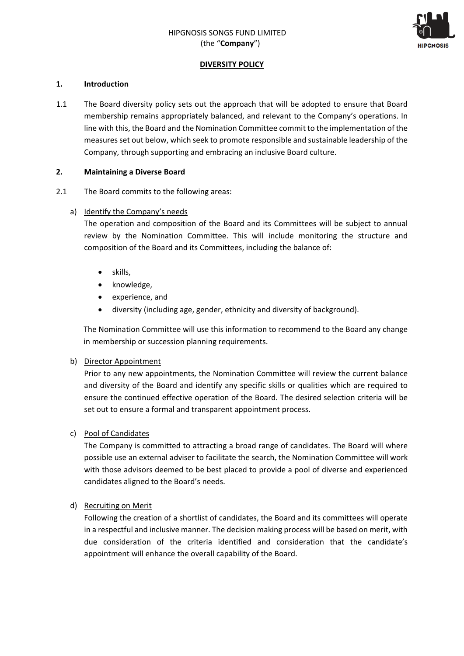

## **DIVERSITY POLICY**

#### **1. Introduction**

1.1 The Board diversity policy sets out the approach that will be adopted to ensure that Board membership remains appropriately balanced, and relevant to the Company's operations. In line with this, the Board and the Nomination Committee commit to the implementation of the measures set out below, which seek to promote responsible and sustainable leadership of the Company, through supporting and embracing an inclusive Board culture.

#### **2. Maintaining a Diverse Board**

2.1 The Board commits to the following areas:

#### a) Identify the Company's needs

The operation and composition of the Board and its Committees will be subject to annual review by the Nomination Committee. This will include monitoring the structure and composition of the Board and its Committees, including the balance of:

- skills,
- knowledge,
- experience, and
- diversity (including age, gender, ethnicity and diversity of background).

The Nomination Committee will use this information to recommend to the Board any change in membership or succession planning requirements.

## b) Director Appointment

Prior to any new appointments, the Nomination Committee will review the current balance and diversity of the Board and identify any specific skills or qualities which are required to ensure the continued effective operation of the Board. The desired selection criteria will be set out to ensure a formal and transparent appointment process.

## c) Pool of Candidates

The Company is committed to attracting a broad range of candidates. The Board will where possible use an external adviser to facilitate the search, the Nomination Committee will work with those advisors deemed to be best placed to provide a pool of diverse and experienced candidates aligned to the Board's needs.

## d) Recruiting on Merit

Following the creation of a shortlist of candidates, the Board and its committees will operate in a respectful and inclusive manner. The decision making process will be based on merit, with due consideration of the criteria identified and consideration that the candidate's appointment will enhance the overall capability of the Board.